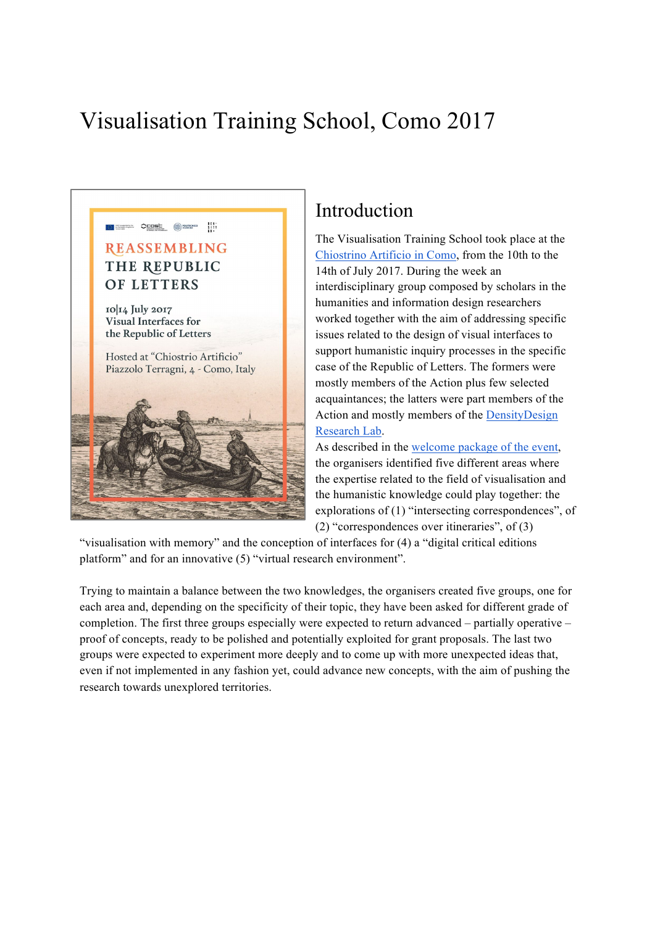## Visualisation Training School, Como 2017



## Introduction

The Visualisation Training School took place at the Chiostrino Artificio in Como, from the 10th to the 14th of July 2017. During the week an interdisciplinary group composed by scholars in the humanities and information design researchers worked together with the aim of addressing specific issues related to the design of visual interfaces to support humanistic inquiry processes in the specific case of the Republic of Letters. The formers were mostly members of the Action plus few selected acquaintances; the latters were part members of the Action and mostly members of the DensityDesign Research Lab.

As described in the welcome package of the event, the organisers identified five different areas where the expertise related to the field of visualisation and the humanistic knowledge could play together: the explorations of (1) "intersecting correspondences", of (2) "correspondences over itineraries", of (3)

"visualisation with memory" and the conception of interfaces for (4) a "digital critical editions platform" and for an innovative (5) "virtual research environment".

Trying to maintain a balance between the two knowledges, the organisers created five groups, one for each area and, depending on the specificity of their topic, they have been asked for different grade of completion. The first three groups especially were expected to return advanced – partially operative – proof of concepts, ready to be polished and potentially exploited for grant proposals. The last two groups were expected to experiment more deeply and to come up with more unexpected ideas that, even if not implemented in any fashion yet, could advance new concepts, with the aim of pushing the research towards unexplored territories.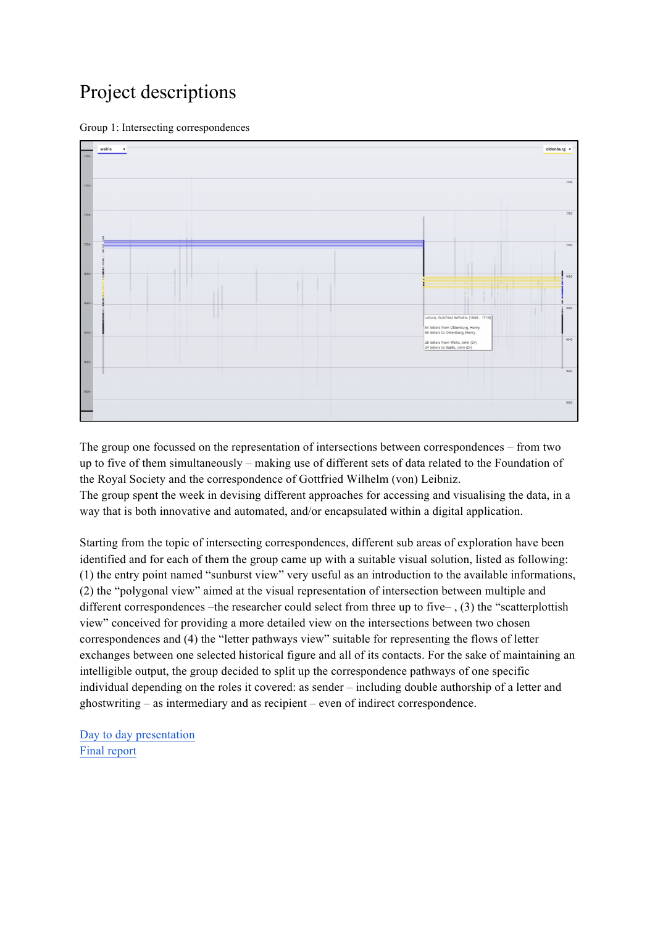## Project descriptions





The group one focussed on the representation of intersections between correspondences – from two up to five of them simultaneously – making use of different sets of data related to the Foundation of the Royal Society and the correspondence of Gottfried Wilhelm (von) Leibniz. The group spent the week in devising different approaches for accessing and visualising the data, in a way that is both innovative and automated, and/or encapsulated within a digital application.

Starting from the topic of intersecting correspondences, different sub areas of exploration have been identified and for each of them the group came up with a suitable visual solution, listed as following: (1) the entry point named "sunburst view" very useful as an introduction to the available informations, (2) the "polygonal view" aimed at the visual representation of intersection between multiple and different correspondences –the researcher could select from three up to five– , (3) the "scatterplottish view" conceived for providing a more detailed view on the intersections between two chosen correspondences and (4) the "letter pathways view" suitable for representing the flows of letter exchanges between one selected historical figure and all of its contacts. For the sake of maintaining an intelligible output, the group decided to split up the correspondence pathways of one specific individual depending on the roles it covered: as sender – including double authorship of a letter and ghostwriting – as intermediary and as recipient – even of indirect correspondence.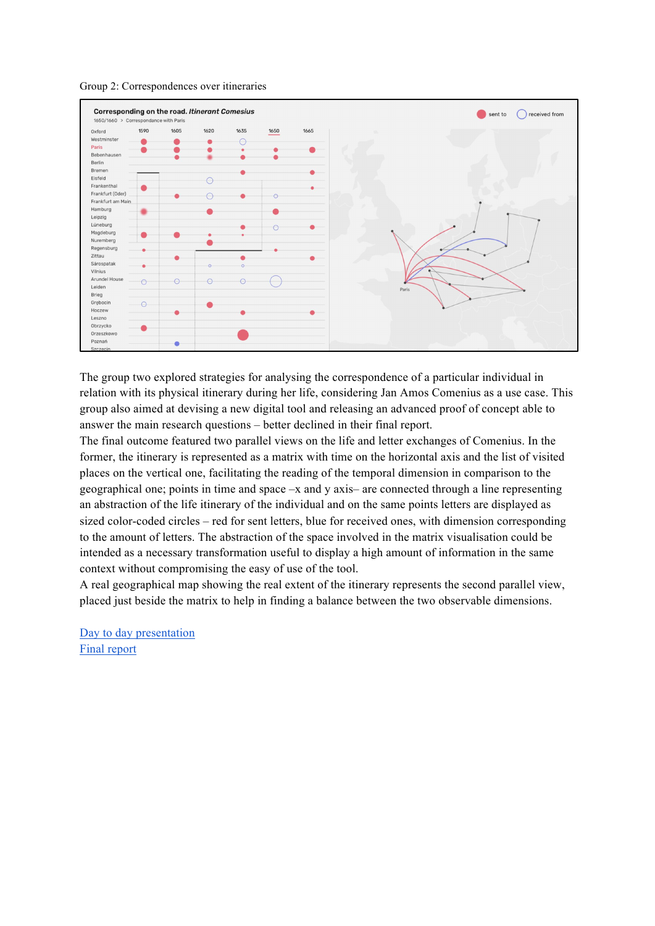



The group two explored strategies for analysing the correspondence of a particular individual in relation with its physical itinerary during her life, considering Jan Amos Comenius as a use case. This group also aimed at devising a new digital tool and releasing an advanced proof of concept able to answer the main research questions – better declined in their final report.

The final outcome featured two parallel views on the life and letter exchanges of Comenius. In the former, the itinerary is represented as a matrix with time on the horizontal axis and the list of visited places on the vertical one, facilitating the reading of the temporal dimension in comparison to the geographical one; points in time and space –x and y axis– are connected through a line representing an abstraction of the life itinerary of the individual and on the same points letters are displayed as sized color-coded circles – red for sent letters, blue for received ones, with dimension corresponding to the amount of letters. The abstraction of the space involved in the matrix visualisation could be intended as a necessary transformation useful to display a high amount of information in the same context without compromising the easy of use of the tool.

A real geographical map showing the real extent of the itinerary represents the second parallel view, placed just beside the matrix to help in finding a balance between the two observable dimensions.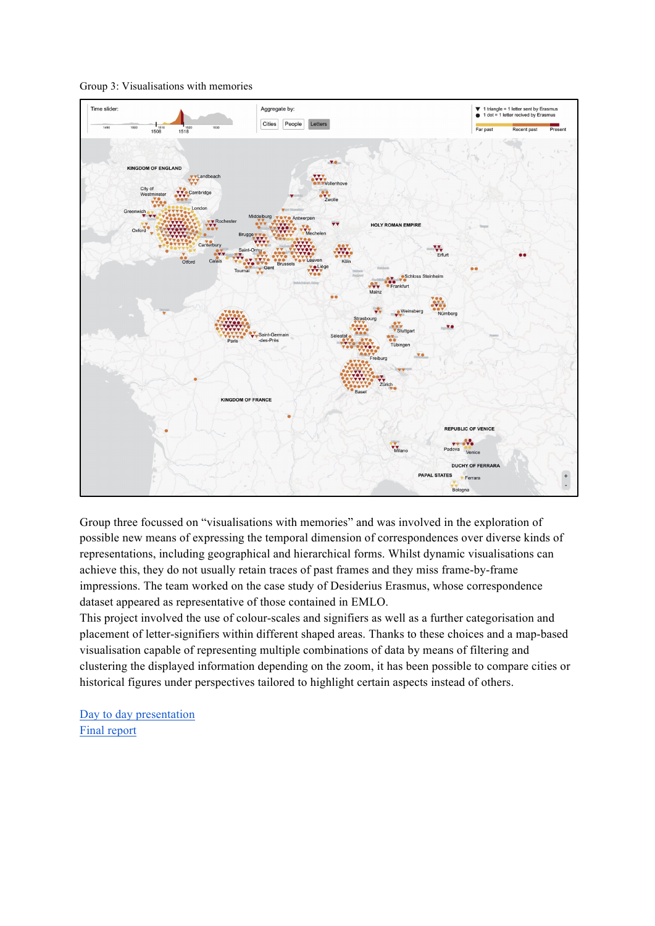Group 3: Visualisations with memories



Group three focussed on "visualisations with memories" and was involved in the exploration of possible new means of expressing the temporal dimension of correspondences over diverse kinds of representations, including geographical and hierarchical forms. Whilst dynamic visualisations can achieve this, they do not usually retain traces of past frames and they miss frame-by-frame impressions. The team worked on the case study of Desiderius Erasmus, whose correspondence dataset appeared as representative of those contained in EMLO.

This project involved the use of colour-scales and signifiers as well as a further categorisation and placement of letter-signifiers within different shaped areas. Thanks to these choices and a map-based visualisation capable of representing multiple combinations of data by means of filtering and clustering the displayed information depending on the zoom, it has been possible to compare cities or historical figures under perspectives tailored to highlight certain aspects instead of others.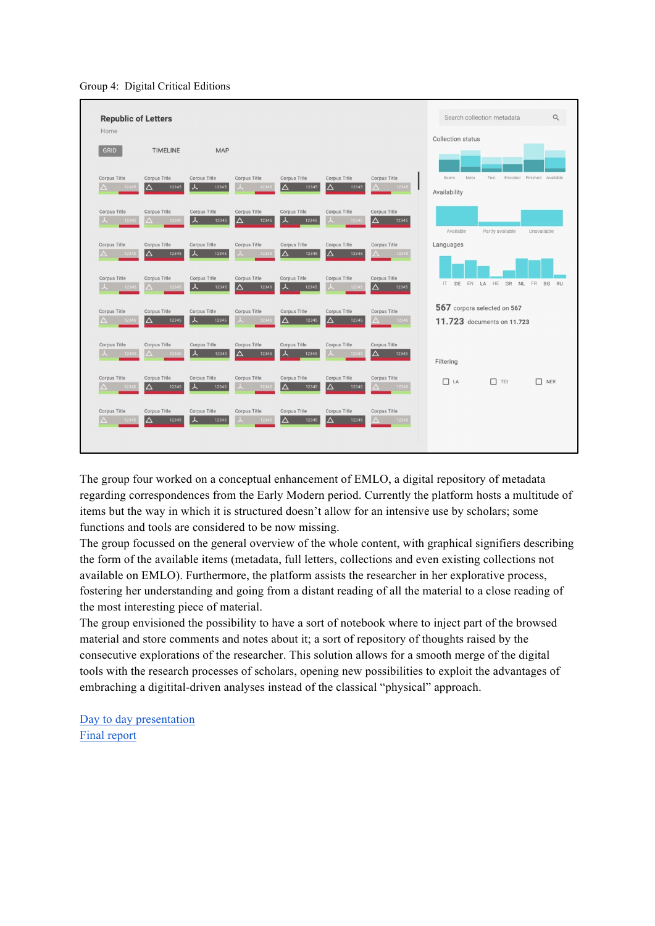Group 4: Digital Critical Editions



The group four worked on a conceptual enhancement of EMLO, a digital repository of metadata regarding correspondences from the Early Modern period. Currently the platform hosts a multitude of items but the way in which it is structured doesn't allow for an intensive use by scholars; some functions and tools are considered to be now missing.

The group focussed on the general overview of the whole content, with graphical signifiers describing the form of the available items (metadata, full letters, collections and even existing collections not available on EMLO). Furthermore, the platform assists the researcher in her explorative process, fostering her understanding and going from a distant reading of all the material to a close reading of the most interesting piece of material.

The group envisioned the possibility to have a sort of notebook where to inject part of the browsed material and store comments and notes about it; a sort of repository of thoughts raised by the consecutive explorations of the researcher. This solution allows for a smooth merge of the digital tools with the research processes of scholars, opening new possibilities to exploit the advantages of embraching a digitital-driven analyses instead of the classical "physical" approach.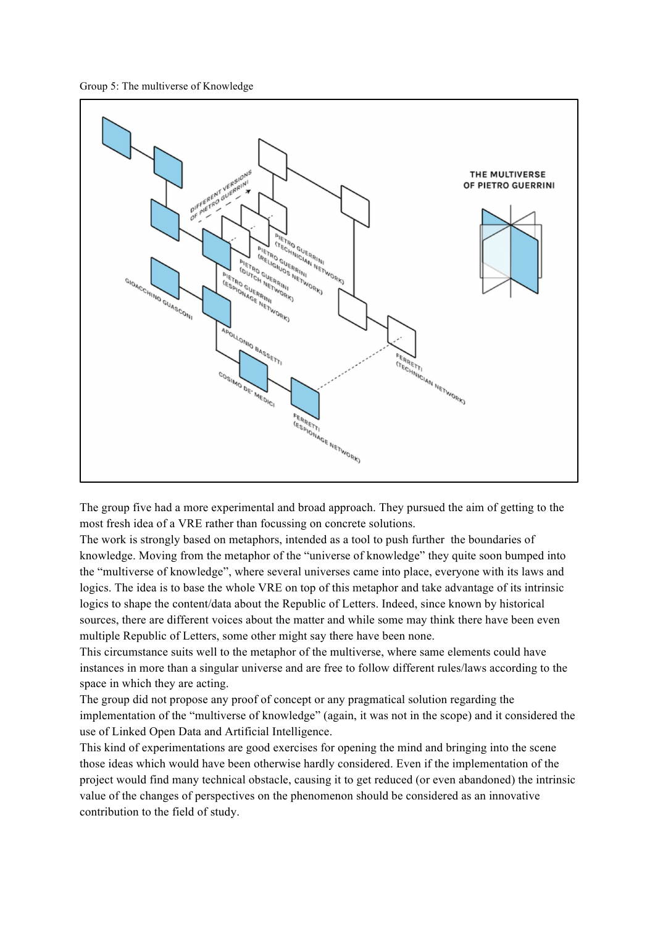



The group five had a more experimental and broad approach. They pursued the aim of getting to the most fresh idea of a VRE rather than focussing on concrete solutions.

The work is strongly based on metaphors, intended as a tool to push further the boundaries of knowledge. Moving from the metaphor of the "universe of knowledge" they quite soon bumped into the "multiverse of knowledge", where several universes came into place, everyone with its laws and logics. The idea is to base the whole VRE on top of this metaphor and take advantage of its intrinsic logics to shape the content/data about the Republic of Letters. Indeed, since known by historical sources, there are different voices about the matter and while some may think there have been even multiple Republic of Letters, some other might say there have been none.

This circumstance suits well to the metaphor of the multiverse, where same elements could have instances in more than a singular universe and are free to follow different rules/laws according to the space in which they are acting.

The group did not propose any proof of concept or any pragmatical solution regarding the implementation of the "multiverse of knowledge" (again, it was not in the scope) and it considered the use of Linked Open Data and Artificial Intelligence.

This kind of experimentations are good exercises for opening the mind and bringing into the scene those ideas which would have been otherwise hardly considered. Even if the implementation of the project would find many technical obstacle, causing it to get reduced (or even abandoned) the intrinsic value of the changes of perspectives on the phenomenon should be considered as an innovative contribution to the field of study.